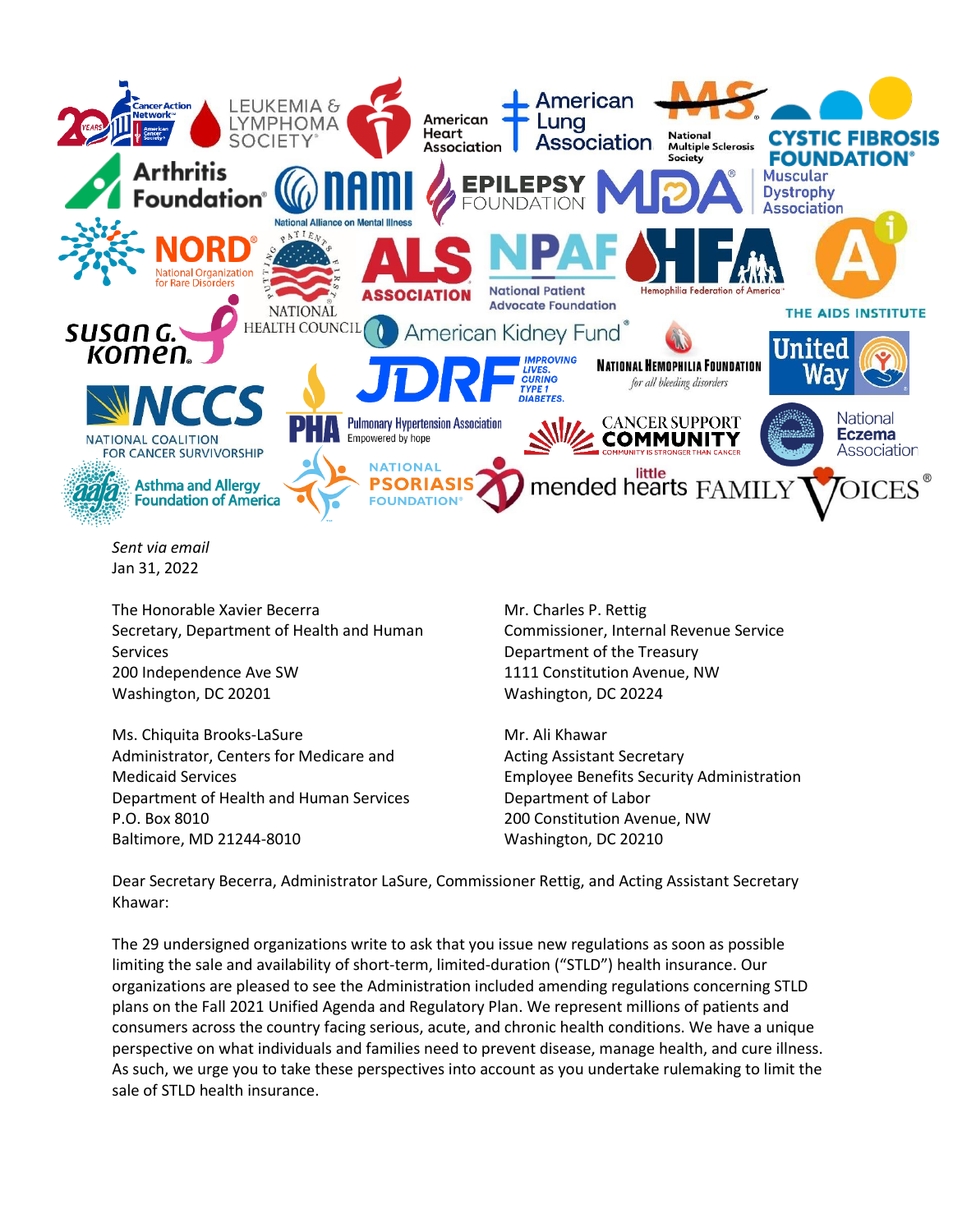

*Sent via email* Jan 31, 2022

The Honorable Xavier Becerra Secretary, Department of Health and Human Services 200 Independence Ave SW Washington, DC 20201

Ms. Chiquita Brooks-LaSure Administrator, Centers for Medicare and Medicaid Services Department of Health and Human Services P.O. Box 8010 Baltimore, MD 21244-8010

Mr. Charles P. Rettig Commissioner, Internal Revenue Service Department of the Treasury 1111 Constitution Avenue, NW Washington, DC 20224

Mr. Ali Khawar Acting Assistant Secretary Employee Benefits Security Administration Department of Labor 200 Constitution Avenue, NW Washington, DC 20210

Dear Secretary Becerra, Administrator LaSure, Commissioner Rettig, and Acting Assistant Secretary Khawar:

The 29 undersigned organizations write to ask that you issue new regulations as soon as possible limiting the sale and availability of short-term, limited-duration ("STLD") health insurance. Our organizations are pleased to see the Administration included amending regulations concerning STLD plans on the Fall 2021 Unified Agenda and Regulatory Plan. We represent millions of patients and consumers across the country facing serious, acute, and chronic health conditions. We have a unique perspective on what individuals and families need to prevent disease, manage health, and cure illness. As such, we urge you to take these perspectives into account as you undertake rulemaking to limit the sale of STLD health insurance.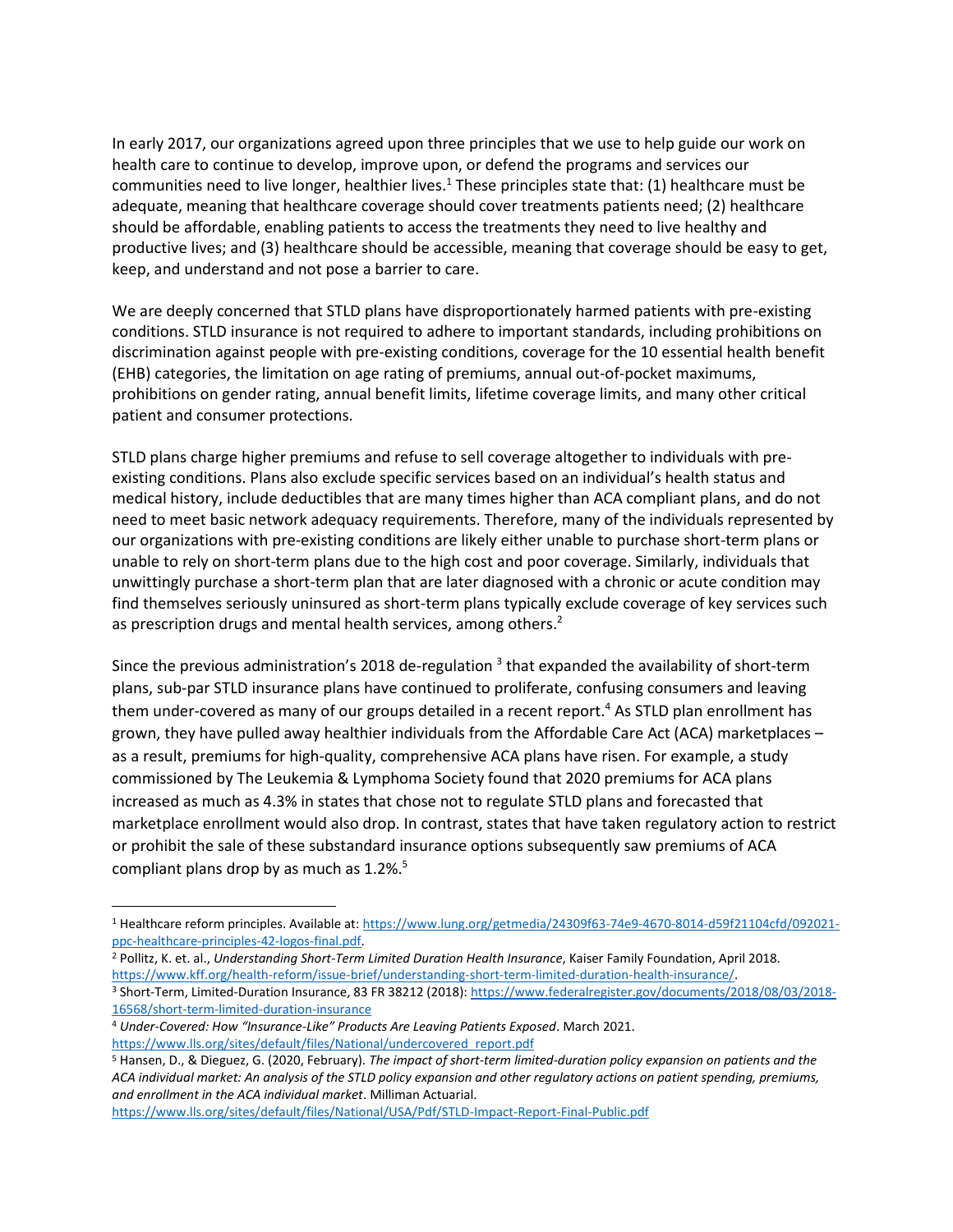In early 2017, our organizations agreed upon three principles that we use to help guide our work on health care to continue to develop, improve upon, or defend the programs and services our communities need to live longer, healthier lives.<sup>1</sup> These principles state that: (1) healthcare must be adequate, meaning that healthcare coverage should cover treatments patients need; (2) healthcare should be affordable, enabling patients to access the treatments they need to live healthy and productive lives; and (3) healthcare should be accessible, meaning that coverage should be easy to get, keep, and understand and not pose a barrier to care.

We are deeply concerned that STLD plans have disproportionately harmed patients with pre-existing conditions. STLD insurance is not required to adhere to important standards, including prohibitions on discrimination against people with pre-existing conditions, coverage for the 10 essential health benefit (EHB) categories, the limitation on age rating of premiums, annual out-of-pocket maximums, prohibitions on gender rating, annual benefit limits, lifetime coverage limits, and many other critical patient and consumer protections.

STLD plans charge higher premiums and refuse to sell coverage altogether to individuals with preexisting conditions. Plans also exclude specific services based on an individual's health status and medical history, include deductibles that are many times higher than ACA compliant plans, and do not need to meet basic network adequacy requirements. Therefore, many of the individuals represented by our organizations with pre-existing conditions are likely either unable to purchase short-term plans or unable to rely on short-term plans due to the high cost and poor coverage. Similarly, individuals that unwittingly purchase a short-term plan that are later diagnosed with a chronic or acute condition may find themselves seriously uninsured as short-term plans typically exclude coverage of key services such as prescription drugs and mental health services, among others.<sup>2</sup>

Since the previous administration's 2018 de-regulation  $^3$  that expanded the availability of short-term plans, sub-par STLD insurance plans have continued to proliferate, confusing consumers and leaving them under-covered as many of our groups detailed in a recent report.<sup>4</sup> As STLD plan enrollment has grown, they have pulled away healthier individuals from the Affordable Care Act (ACA) marketplaces – as a result, premiums for high-quality, comprehensive ACA plans have risen. For example, a study commissioned by The Leukemia & Lymphoma Society found that 2020 premiums for ACA plans increased as much as 4.3% in states that chose not to regulate STLD plans and forecasted that marketplace enrollment would also drop. In contrast, states that have taken regulatory action to restrict or prohibit the sale of these substandard insurance options subsequently saw premiums of ACA compliant plans drop by as much as  $1.2\%$ .<sup>5</sup>

<sup>2</sup> Pollitz, K. et. al., *Understanding Short-Term Limited Duration Health Insurance*, Kaiser Family Foundation, April 2018.

[https://www.kff.org/health-reform/issue-brief/understanding-short-term-limited-duration-health-insurance/.](https://www.kff.org/health-reform/issue-brief/understanding-short-term-limited-duration-health-insurance/) <sup>3</sup> Short-Term, Limited-Duration Insurance, 83 FR 38212 (2018)[: https://www.federalregister.gov/documents/2018/08/03/2018-](https://www.federalregister.gov/documents/2018/08/03/2018-16568/short-term-limited-duration-insurance) [16568/short-term-limited-duration-insurance](https://www.federalregister.gov/documents/2018/08/03/2018-16568/short-term-limited-duration-insurance)

<https://www.lls.org/sites/default/files/National/USA/Pdf/STLD-Impact-Report-Final-Public.pdf>

<sup>1</sup> Healthcare reform principles. Available at: [https://www.lung.org/getmedia/24309f63-74e9-4670-8014-d59f21104cfd/092021](https://www.lung.org/getmedia/24309f63-74e9-4670-8014-d59f21104cfd/092021-ppc-healthcare-principles-42-logos-final.pdf) [ppc-healthcare-principles-42-logos-final.pdf.](https://www.lung.org/getmedia/24309f63-74e9-4670-8014-d59f21104cfd/092021-ppc-healthcare-principles-42-logos-final.pdf)

<sup>4</sup> *Under-Covered: How "Insurance-Like" Products Are Leaving Patients Exposed*. March 2021. [https://www.lls.org/sites/default/files/National/undercovered\\_report.pdf](https://www.lls.org/sites/default/files/National/undercovered_report.pdf)

<sup>5</sup> Hansen, D., & Dieguez, G. (2020, February). *The impact of short-term limited-duration policy expansion on patients and the ACA individual market: An analysis of the STLD policy expansion and other regulatory actions on patient spending, premiums, and enrollment in the ACA individual market*. Milliman Actuarial.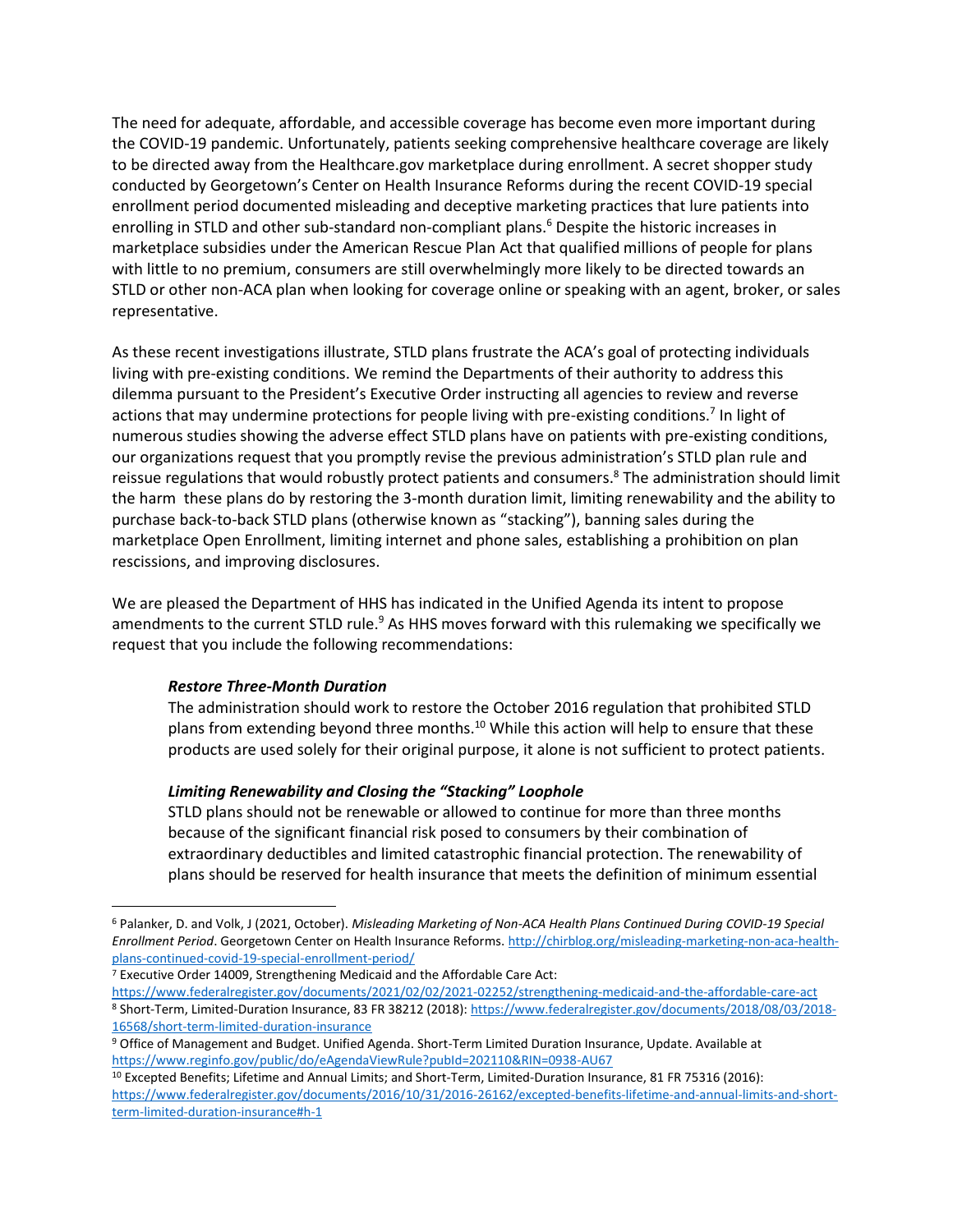The need for adequate, affordable, and accessible coverage has become even more important during the COVID-19 pandemic. Unfortunately, patients seeking comprehensive healthcare coverage are likely to be directed away from the Healthcare.gov marketplace during enrollment. A secret shopper study conducted by Georgetown's Center on Health Insurance Reforms during the recent COVID-19 special enrollment period documented misleading and deceptive marketing practices that lure patients into enrolling in STLD and other sub-standard non-compliant plans.<sup>6</sup> Despite the historic increases in marketplace subsidies under the American Rescue Plan Act that qualified millions of people for plans with little to no premium, consumers are still overwhelmingly more likely to be directed towards an STLD or other non-ACA plan when looking for coverage online or speaking with an agent, broker, or sales representative.

As these recent investigations illustrate, STLD plans frustrate the ACA's goal of protecting individuals living with pre-existing conditions. We remind the Departments of their authority to address this dilemma pursuant to the President's Executive Order instructing all agencies to review and reverse actions that may undermine protections for people living with pre-existing conditions.<sup>7</sup> In light of numerous studies showing the adverse effect STLD plans have on patients with pre-existing conditions, our organizations request that you promptly revise the previous administration's STLD plan rule and reissue regulations that would robustly protect patients and consumers.<sup>8</sup> The administration should limit the harm these plans do by restoring the 3-month duration limit, limiting renewability and the ability to purchase back-to-back STLD plans (otherwise known as "stacking"), banning sales during the marketplace Open Enrollment, limiting internet and phone sales, establishing a prohibition on plan rescissions, and improving disclosures.

We are pleased the Department of HHS has indicated in the Unified Agenda its intent to propose amendments to the current STLD rule.<sup>9</sup> As HHS moves forward with this rulemaking we specifically we request that you include the following recommendations:

# *Restore Three-Month Duration*

The administration should work to restore the October 2016 regulation that prohibited STLD plans from extending beyond three months.<sup>10</sup> While this action will help to ensure that these products are used solely for their original purpose, it alone is not sufficient to protect patients.

# *Limiting Renewability and Closing the "Stacking" Loophole*

STLD plans should not be renewable or allowed to continue for more than three months because of the significant financial risk posed to consumers by their combination of extraordinary deductibles and limited catastrophic financial protection. The renewability of plans should be reserved for health insurance that meets the definition of minimum essential

<sup>6</sup> Palanker, D. and Volk, J (2021, October). *Misleading Marketing of Non-ACA Health Plans Continued During COVID-19 Special Enrollment Period*. Georgetown Center on Health Insurance Reforms[. http://chirblog.org/misleading-marketing-non-aca-health](http://chirblog.org/misleading-marketing-non-aca-health-plans-continued-covid-19-special-enrollment-period/)[plans-continued-covid-19-special-enrollment-period/](http://chirblog.org/misleading-marketing-non-aca-health-plans-continued-covid-19-special-enrollment-period/)

<sup>7</sup> Executive Order 14009, Strengthening Medicaid and the Affordable Care Act:

<https://www.federalregister.gov/documents/2021/02/02/2021-02252/strengthening-medicaid-and-the-affordable-care-act> <sup>8</sup> Short-Term, Limited-Duration Insurance, 83 FR 38212 (2018)[: https://www.federalregister.gov/documents/2018/08/03/2018-](https://www.federalregister.gov/documents/2018/08/03/2018-16568/short-term-limited-duration-insurance) [16568/short-term-limited-duration-insurance](https://www.federalregister.gov/documents/2018/08/03/2018-16568/short-term-limited-duration-insurance)

<sup>9</sup> Office of Management and Budget. Unified Agenda. Short-Term Limited Duration Insurance, Update. Available at <https://www.reginfo.gov/public/do/eAgendaViewRule?pubId=202110&RIN=0938-AU67>

<sup>10</sup> Excepted Benefits; Lifetime and Annual Limits; and Short-Term, Limited-Duration Insurance, 81 FR 75316 (2016): [https://www.federalregister.gov/documents/2016/10/31/2016-26162/excepted-benefits-lifetime-and-annual-limits-and-short](https://www.federalregister.gov/documents/2016/10/31/2016-26162/excepted-benefits-lifetime-and-annual-limits-and-short-term-limited-duration-insurance#h-1)[term-limited-duration-insurance#h-1](https://www.federalregister.gov/documents/2016/10/31/2016-26162/excepted-benefits-lifetime-and-annual-limits-and-short-term-limited-duration-insurance#h-1)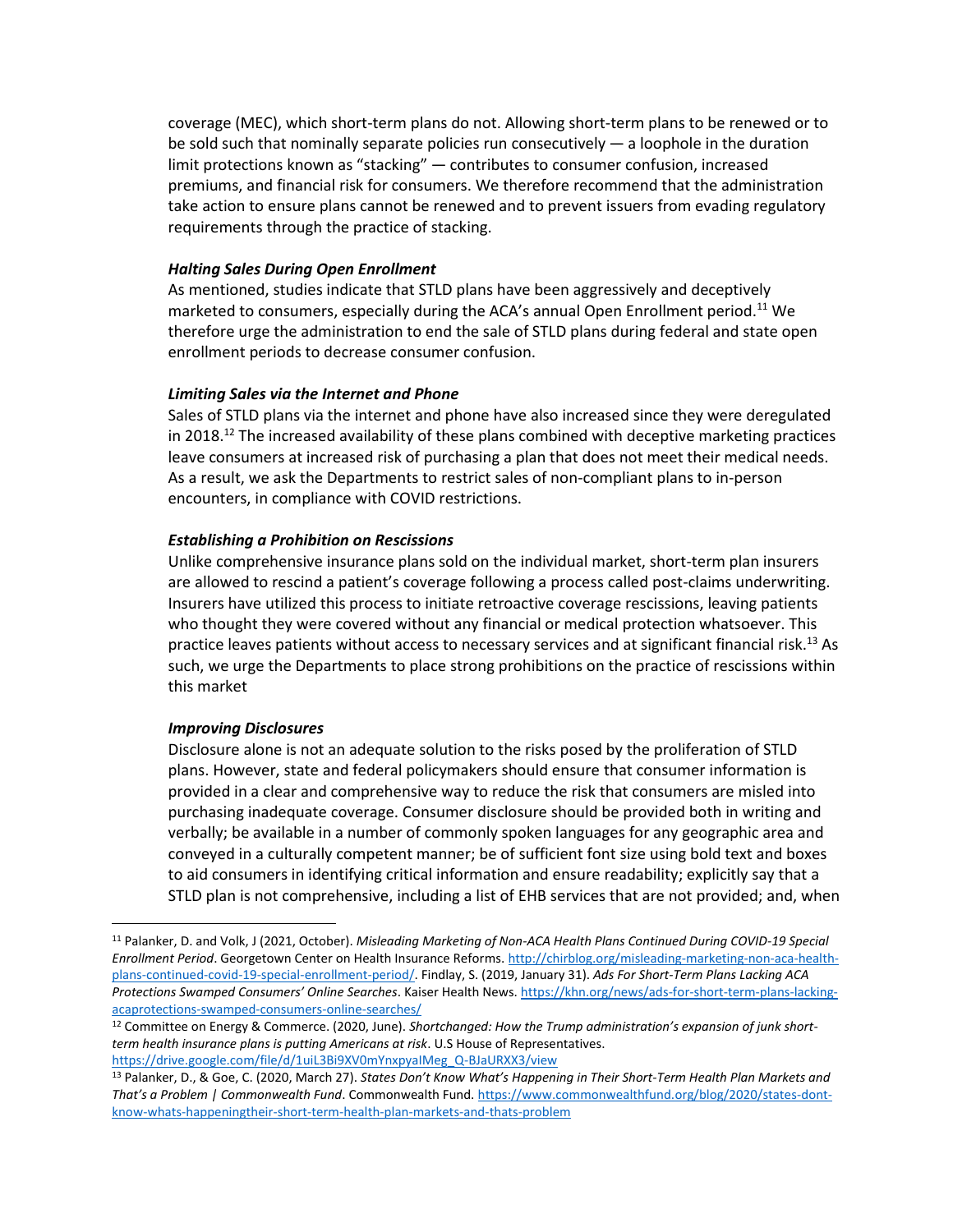coverage (MEC), which short-term plans do not. Allowing short-term plans to be renewed or to be sold such that nominally separate policies run consecutively  $-$  a loophole in the duration limit protections known as "stacking" — contributes to consumer confusion, increased premiums, and financial risk for consumers. We therefore recommend that the administration take action to ensure plans cannot be renewed and to prevent issuers from evading regulatory requirements through the practice of stacking.

#### *Halting Sales During Open Enrollment*

As mentioned, studies indicate that STLD plans have been aggressively and deceptively marketed to consumers, especially during the ACA's annual Open Enrollment period.<sup>11</sup> We therefore urge the administration to end the sale of STLD plans during federal and state open enrollment periods to decrease consumer confusion.

### *Limiting Sales via the Internet and Phone*

Sales of STLD plans via the internet and phone have also increased since they were deregulated in 2018.<sup>12</sup> The increased availability of these plans combined with deceptive marketing practices leave consumers at increased risk of purchasing a plan that does not meet their medical needs. As a result, we ask the Departments to restrict sales of non-compliant plans to in-person encounters, in compliance with COVID restrictions.

### *Establishing a Prohibition on Rescissions*

Unlike comprehensive insurance plans sold on the individual market, short-term plan insurers are allowed to rescind a patient's coverage following a process called post-claims underwriting. Insurers have utilized this process to initiate retroactive coverage rescissions, leaving patients who thought they were covered without any financial or medical protection whatsoever. This practice leaves patients without access to necessary services and at significant financial risk.<sup>13</sup> As such, we urge the Departments to place strong prohibitions on the practice of rescissions within this market

# *Improving Disclosures*

Disclosure alone is not an adequate solution to the risks posed by the proliferation of STLD plans. However, state and federal policymakers should ensure that consumer information is provided in a clear and comprehensive way to reduce the risk that consumers are misled into purchasing inadequate coverage. Consumer disclosure should be provided both in writing and verbally; be available in a number of commonly spoken languages for any geographic area and conveyed in a culturally competent manner; be of sufficient font size using bold text and boxes to aid consumers in identifying critical information and ensure readability; explicitly say that a STLD plan is not comprehensive, including a list of EHB services that are not provided; and, when

<sup>11</sup> Palanker, D. and Volk, J (2021, October). *Misleading Marketing of Non-ACA Health Plans Continued During COVID-19 Special Enrollment Period*. Georgetown Center on Health Insurance Reforms[. http://chirblog.org/misleading-marketing-non-aca-health](http://chirblog.org/misleading-marketing-non-aca-health-plans-continued-covid-19-special-enrollment-period/)[plans-continued-covid-19-special-enrollment-period/.](http://chirblog.org/misleading-marketing-non-aca-health-plans-continued-covid-19-special-enrollment-period/) Findlay, S. (2019, January 31). *Ads For Short-Term Plans Lacking ACA Protections Swamped Consumers' Online Searches*. Kaiser Health News[. https://khn.org/news/ads-for-short-term-plans-lacking](https://khn.org/news/ads-for-short-term-plans-lacking-acaprotections-swamped-consumers-online-searches/)[acaprotections-swamped-consumers-online-searches/](https://khn.org/news/ads-for-short-term-plans-lacking-acaprotections-swamped-consumers-online-searches/)

<sup>12</sup> Committee on Energy & Commerce. (2020, June). *Shortchanged: How the Trump administration's expansion of junk shortterm health insurance plans is putting Americans at risk*. U.S House of Representatives. [https://drive.google.com/file/d/1uiL3Bi9XV0mYnxpyaIMeg\\_Q-BJaURXX3/view](https://drive.google.com/file/d/1uiL3Bi9XV0mYnxpyaIMeg_Q-BJaURXX3/view)

<sup>13</sup> Palanker, D., & Goe, C. (2020, March 27). *States Don't Know What's Happening in Their Short-Term Health Plan Markets and That's a Problem | Commonwealth Fund*. Commonwealth Fund. [https://www.commonwealthfund.org/blog/2020/states-dont](https://www.commonwealthfund.org/blog/2020/states-dont-know-whats-happeningtheir-short-term-health-plan-markets-and-thats-problem)[know-whats-happeningtheir-short-term-health-plan-markets-and-thats-problem](https://www.commonwealthfund.org/blog/2020/states-dont-know-whats-happeningtheir-short-term-health-plan-markets-and-thats-problem)